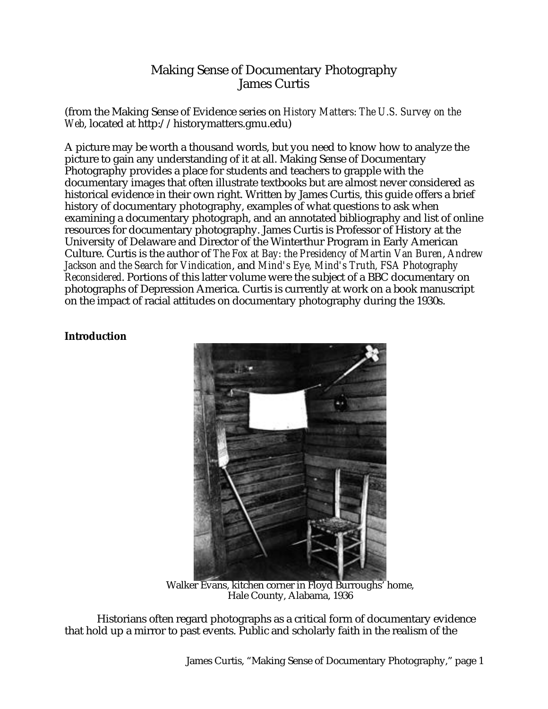# Making Sense of Documentary Photography James Curtis

(from the Making Sense of Evidence series on *History Matters: The U.S. Survey on the Web*, located at http://historymatters.gmu.edu)

A picture may be worth a thousand words, but you need to know how to analyze the picture to gain any understanding of it at all. Making Sense of Documentary Photography provides a place for students and teachers to grapple with the documentary images that often illustrate textbooks but are almost never considered as historical evidence in their own right. Written by James Curtis, this guide offers a brief history of documentary photography, examples of what questions to ask when examining a documentary photograph, and an annotated bibliography and list of online resources for documentary photography. James Curtis is Professor of History at the University of Delaware and Director of the Winterthur Program in Early American Culture. Curtis is the author of *The Fox at Bay: the Presidency of Martin Van Buren*, *Andrew Jackson and the Search for Vindication*, and *Mind's Eye, Mind's Truth, FSA Photography Reconsidered*. Portions of this latter volume were the subject of a BBC documentary on photographs of Depression America. Curtis is currently at work on a book manuscript on the impact of racial attitudes on documentary photography during the 1930s.

# **Introduction**



Walker Evans, kitchen corner in Floyd Burroughs' home, Hale County, Alabama, 1936

Historians often regard photographs as a critical form of documentary evidence that hold up a mirror to past events. Public and scholarly faith in the realism of the

James Curtis, "Making Sense of Documentary Photography," page 1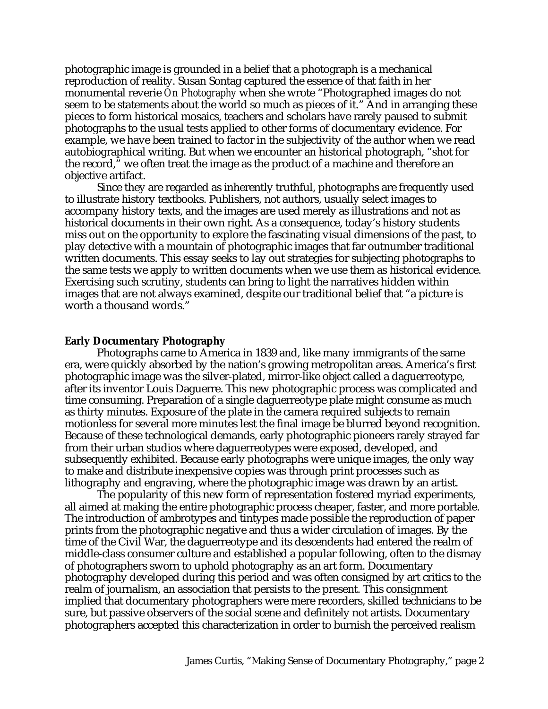photographic image is grounded in a belief that a photograph is a mechanical reproduction of reality. Susan Sontag captured the essence of that faith in her monumental reverie *On Photography* when she wrote "Photographed images do not seem to be statements about the world so much as pieces of it." And in arranging these pieces to form historical mosaics, teachers and scholars have rarely paused to submit photographs to the usual tests applied to other forms of documentary evidence. For example, we have been trained to factor in the subjectivity of the author when we read autobiographical writing. But when we encounter an historical photograph, "shot for the record," we often treat the image as the product of a machine and therefore an objective artifact.

Since they are regarded as inherently truthful, photographs are frequently used to illustrate history textbooks. Publishers, not authors, usually select images to accompany history texts, and the images are used merely as illustrations and not as historical documents in their own right. As a consequence, today's history students miss out on the opportunity to explore the fascinating visual dimensions of the past, to play detective with a mountain of photographic images that far outnumber traditional written documents. This essay seeks to lay out strategies for subjecting photographs to the same tests we apply to written documents when we use them as historical evidence. Exercising such scrutiny, students can bring to light the narratives hidden within images that are not always examined, despite our traditional belief that "a picture is worth a thousand words."

### **Early Documentary Photography**

Photographs came to America in 1839 and, like many immigrants of the same era, were quickly absorbed by the nation's growing metropolitan areas. America's first photographic image was the silver-plated, mirror-like object called a daguerreotype, after its inventor Louis Daguerre. This new photographic process was complicated and time consuming. Preparation of a single daguerreotype plate might consume as much as thirty minutes. Exposure of the plate in the camera required subjects to remain motionless for several more minutes lest the final image be blurred beyond recognition. Because of these technological demands, early photographic pioneers rarely strayed far from their urban studios where daguerreotypes were exposed, developed, and subsequently exhibited. Because early photographs were unique images, the only way to make and distribute inexpensive copies was through print processes such as lithography and engraving, where the photographic image was drawn by an artist.

The popularity of this new form of representation fostered myriad experiments, all aimed at making the entire photographic process cheaper, faster, and more portable. The introduction of ambrotypes and tintypes made possible the reproduction of paper prints from the photographic negative and thus a wider circulation of images. By the time of the Civil War, the daguerreotype and its descendents had entered the realm of middle-class consumer culture and established a popular following, often to the dismay of photographers sworn to uphold photography as an art form. Documentary photography developed during this period and was often consigned by art critics to the realm of journalism, an association that persists to the present. This consignment implied that documentary photographers were mere recorders, skilled technicians to be sure, but passive observers of the social scene and definitely not artists. Documentary photographers accepted this characterization in order to burnish the perceived realism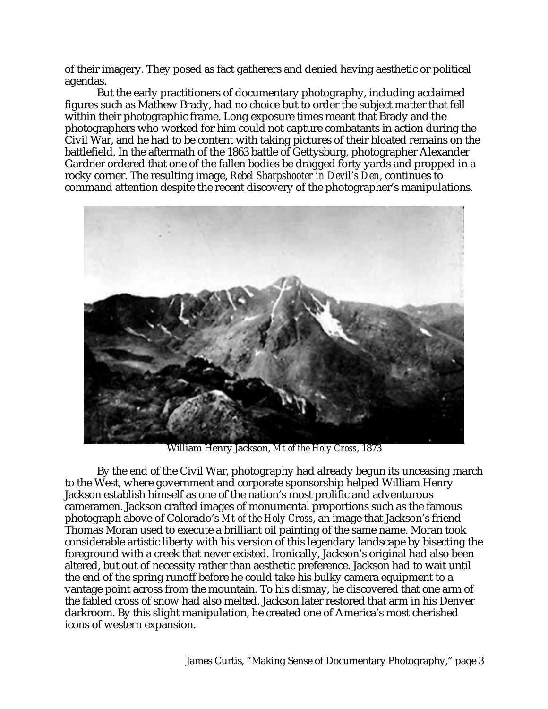of their imagery. They posed as fact gatherers and denied having aesthetic or political agendas.

But the early practitioners of documentary photography, including acclaimed figures such as Mathew Brady, had no choice but to order the subject matter that fell within their photographic frame. Long exposure times meant that Brady and the photographers who worked for him could not capture combatants in action during the Civil War, and he had to be content with taking pictures of their bloated remains on the battlefield. In the aftermath of the 1863 battle of Gettysburg, photographer Alexander Gardner ordered that one of the fallen bodies be dragged forty yards and propped in a rocky corner. The resulting image, *Rebel Sharpshooter in Devil's Den*, continues to command attention despite the recent discovery of the photographer's manipulations.



William Henry Jackson, *Mt of the Holy Cross*, 1873

By the end of the Civil War, photography had already begun its unceasing march to the West, where government and corporate sponsorship helped William Henry Jackson establish himself as one of the nation's most prolific and adventurous cameramen. Jackson crafted images of monumental proportions such as the famous photograph above of Colorado's *Mt of the Holy Cross*, an image that Jackson's friend Thomas Moran used to execute a brilliant oil painting of the same name. Moran took considerable artistic liberty with his version of this legendary landscape by bisecting the foreground with a creek that never existed. Ironically, Jackson's original had also been altered, but out of necessity rather than aesthetic preference. Jackson had to wait until the end of the spring runoff before he could take his bulky camera equipment to a vantage point across from the mountain. To his dismay, he discovered that one arm of the fabled cross of snow had also melted. Jackson later restored that arm in his Denver darkroom. By this slight manipulation, he created one of America's most cherished icons of western expansion.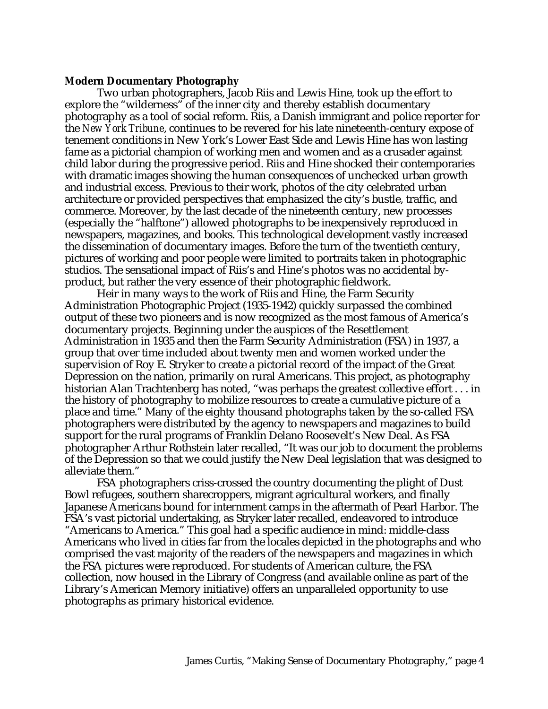#### **Modern Documentary Photography**

Two urban photographers, Jacob Riis and Lewis Hine, took up the effort to explore the "wilderness" of the inner city and thereby establish documentary photography as a tool of social reform. Riis, a Danish immigrant and police reporter for the *New York Tribune*, continues to be revered for his late nineteenth-century expose of tenement conditions in New York's Lower East Side and Lewis Hine has won lasting fame as a pictorial champion of working men and women and as a crusader against child labor during the progressive period. Riis and Hine shocked their contemporaries with dramatic images showing the human consequences of unchecked urban growth and industrial excess. Previous to their work, photos of the city celebrated urban architecture or provided perspectives that emphasized the city's bustle, traffic, and commerce. Moreover, by the last decade of the nineteenth century, new processes (especially the "halftone") allowed photographs to be inexpensively reproduced in newspapers, magazines, and books. This technological development vastly increased the dissemination of documentary images. Before the turn of the twentieth century, pictures of working and poor people were limited to portraits taken in photographic studios. The sensational impact of Riis's and Hine's photos was no accidental byproduct, but rather the very essence of their photographic fieldwork.

Heir in many ways to the work of Riis and Hine, the Farm Security Administration Photographic Project (1935-1942) quickly surpassed the combined output of these two pioneers and is now recognized as the most famous of America's documentary projects. Beginning under the auspices of the Resettlement Administration in 1935 and then the Farm Security Administration (FSA) in 1937, a group that over time included about twenty men and women worked under the supervision of Roy E. Stryker to create a pictorial record of the impact of the Great Depression on the nation, primarily on rural Americans. This project, as photography historian Alan Trachtenberg has noted, "was perhaps the greatest collective effort . . . in the history of photography to mobilize resources to create a cumulative picture of a place and time." Many of the eighty thousand photographs taken by the so-called FSA photographers were distributed by the agency to newspapers and magazines to build support for the rural programs of Franklin Delano Roosevelt's New Deal. As FSA photographer Arthur Rothstein later recalled, "It was our job to document the problems of the Depression so that we could justify the New Deal legislation that was designed to alleviate them."

FSA photographers criss-crossed the country documenting the plight of Dust Bowl refugees, southern sharecroppers, migrant agricultural workers, and finally Japanese Americans bound for internment camps in the aftermath of Pearl Harbor. The FSA's vast pictorial undertaking, as Stryker later recalled, endeavored to introduce "Americans to America." This goal had a specific audience in mind: middle-class Americans who lived in cities far from the locales depicted in the photographs and who comprised the vast majority of the readers of the newspapers and magazines in which the FSA pictures were reproduced. For students of American culture, the FSA collection, now housed in the Library of Congress (and available online as part of the Library's American Memory initiative) offers an unparalleled opportunity to use photographs as primary historical evidence.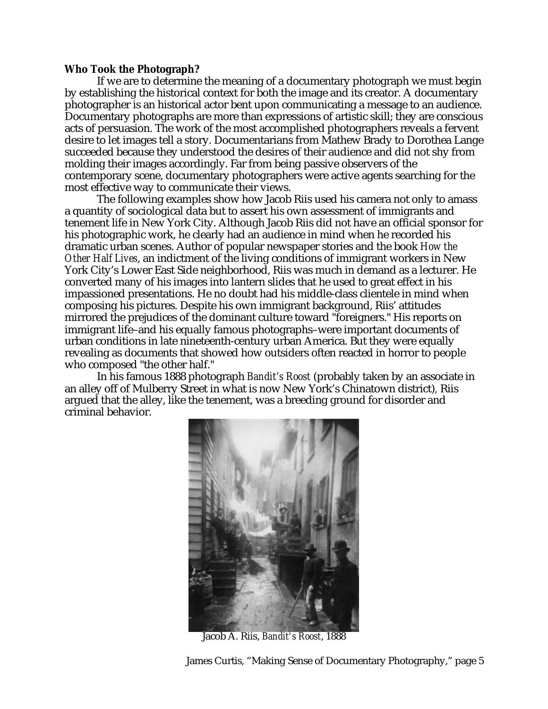#### **Who Took the Photograph?**

If we are to determine the meaning of a documentary photograph we must begin by establishing the historical context for both the image and its creator. A documentary photographer is an historical actor bent upon communicating a message to an audience. Documentary photographs are more than expressions of artistic skill; they are conscious acts of persuasion. The work of the most accomplished photographers reveals a fervent desire to let images tell a story. Documentarians from Mathew Brady to Dorothea Lange succeeded because they understood the desires of their audience and did not shy from molding their images accordingly. Far from being passive observers of the contemporary scene, documentary photographers were active agents searching for the most effective way to communicate their views.

The following examples show how Jacob Riis used his camera not only to amass a quantity of sociological data but to assert his own assessment of immigrants and tenement life in New York City. Although Jacob Riis did not have an official sponsor for his photographic work, he clearly had an audience in mind when he recorded his dramatic urban scenes. Author of popular newspaper stories and the book *How the Other Half Lives*, an indictment of the living conditions of immigrant workers in New York City's Lower East Side neighborhood, Riis was much in demand as a lecturer. He converted many of his images into lantern slides that he used to great effect in his impassioned presentations. He no doubt had his middle-class clientele in mind when composing his pictures. Despite his own immigrant background, Riis' attitudes mirrored the prejudices of the dominant culture toward "foreigners." His reports on immigrant life–and his equally famous photographs–were important documents of urban conditions in late nineteenth-century urban America. But they were equally revealing as documents that showed how outsiders often reacted in horror to people who composed "the other half."

In his famous 1888 photograph *Bandit's Roost* (probably taken by an associate in an alley off of Mulberry Street in what is now New York's Chinatown district)*,* Riis argued that the alley, like the tenement, was a breeding ground for disorder and criminal behavior.



Jacob A. Riis, *Bandit's Roost*, 1888

James Curtis, "Making Sense of Documentary Photography," page 5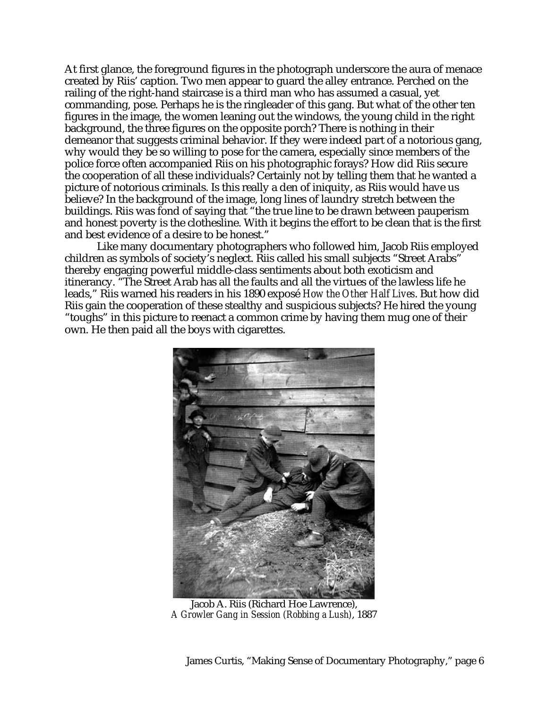At first glance, the foreground figures in the photograph underscore the aura of menace created by Riis' caption. Two men appear to guard the alley entrance. Perched on the railing of the right-hand staircase is a third man who has assumed a casual, yet commanding, pose. Perhaps he is the ringleader of this gang. But what of the other ten figures in the image, the women leaning out the windows, the young child in the right background, the three figures on the opposite porch? There is nothing in their demeanor that suggests criminal behavior. If they were indeed part of a notorious gang, why would they be so willing to pose for the camera, especially since members of the police force often accompanied Riis on his photographic forays? How did Riis secure the cooperation of all these individuals? Certainly not by telling them that he wanted a picture of notorious criminals. Is this really a den of iniquity, as Riis would have us believe? In the background of the image, long lines of laundry stretch between the buildings. Riis was fond of saying that "the true line to be drawn between pauperism and honest poverty is the clothesline. With it begins the effort to be clean that is the first and best evidence of a desire to be honest."

Like many documentary photographers who followed him, Jacob Riis employed children as symbols of society's neglect. Riis called his small subjects "Street Arabs" thereby engaging powerful middle-class sentiments about both exoticism and itinerancy. "The Street Arab has all the faults and all the virtues of the lawless life he leads," Riis warned his readers in his 1890 exposé *How the Other Half Lives*. But how did Riis gain the cooperation of these stealthy and suspicious subjects? He hired the young "toughs" in this picture to reenact a common crime by having them mug one of their own. He then paid all the boys with cigarettes.



Jacob A. Riis (Richard Hoe Lawrence), *A Growler Gang in Session (Robbing a Lush)*, 1887

James Curtis, "Making Sense of Documentary Photography," page 6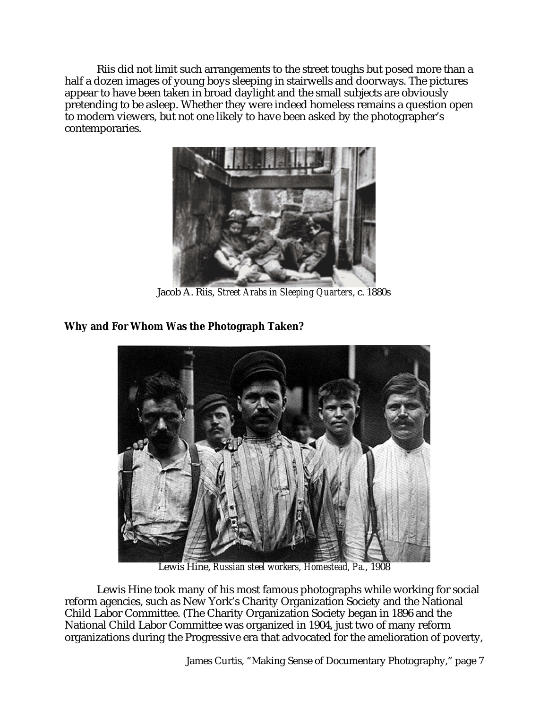Riis did not limit such arrangements to the street toughs but posed more than a half a dozen images of young boys sleeping in stairwells and doorways. The pictures appear to have been taken in broad daylight and the small subjects are obviously pretending to be asleep. Whether they were indeed homeless remains a question open to modern viewers, but not one likely to have been asked by the photographer's contemporaries.



Jacob A. Riis, *Street Arabs in Sleeping Quarters*, c. 1880s

# **Why and For Whom Was the Photograph Taken?**



Lewis Hine, *Russian steel workers, Homestead, Pa.*, 1908

Lewis Hine took many of his most famous photographs while working for social reform agencies, such as New York's Charity Organization Society and the National Child Labor Committee. (The Charity Organization Society began in 1896 and the National Child Labor Committee was organized in 1904, just two of many reform organizations during the Progressive era that advocated for the amelioration of poverty,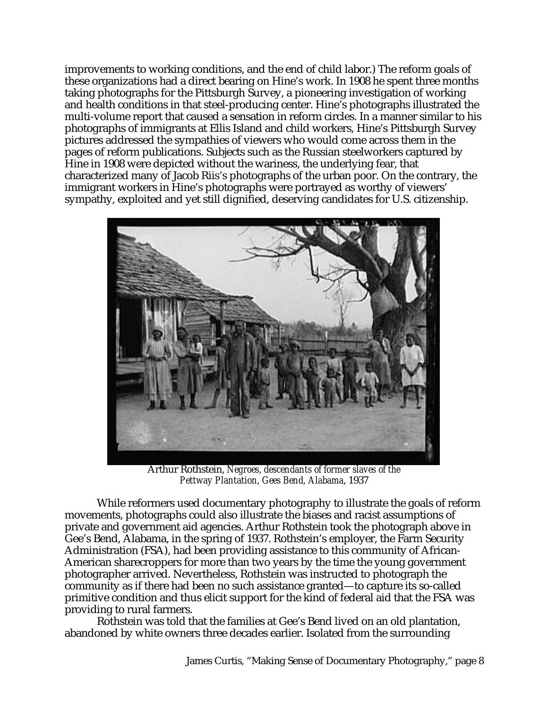improvements to working conditions, and the end of child labor.) The reform goals of these organizations had a direct bearing on Hine's work. In 1908 he spent three months taking photographs for the Pittsburgh Survey, a pioneering investigation of working and health conditions in that steel-producing center. Hine's photographs illustrated the multi-volume report that caused a sensation in reform circles. In a manner similar to his photographs of immigrants at Ellis Island and child workers, Hine's Pittsburgh Survey pictures addressed the sympathies of viewers who would come across them in the pages of reform publications. Subjects such as the Russian steelworkers captured by Hine in 1908 were depicted without the wariness, the underlying fear, that characterized many of Jacob Riis's photographs of the urban poor. On the contrary, the immigrant workers in Hine's photographs were portrayed as worthy of viewers' sympathy, exploited and yet still dignified, deserving candidates for U.S. citizenship.



Arthur Rothstein, *Negroes, descendants of former slaves of the Pettway Plantation, Gees Bend, Alabama*, 1937

While reformers used documentary photography to illustrate the goals of reform movements, photographs could also illustrate the biases and racist assumptions of private and government aid agencies. Arthur Rothstein took the photograph above in Gee's Bend, Alabama, in the spring of 1937. Rothstein's employer, the Farm Security Administration (FSA), had been providing assistance to this community of African-American sharecroppers for more than two years by the time the young government photographer arrived. Nevertheless, Rothstein was instructed to photograph the community as if there had been no such assistance granted—to capture its so-called primitive condition and thus elicit support for the kind of federal aid that the FSA was providing to rural farmers.

Rothstein was told that the families at Gee's Bend lived on an old plantation, abandoned by white owners three decades earlier. Isolated from the surrounding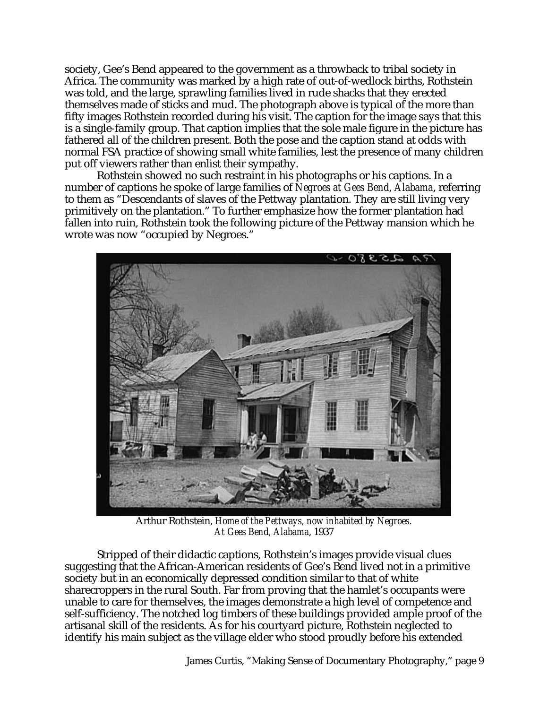society, Gee's Bend appeared to the government as a throwback to tribal society in Africa. The community was marked by a high rate of out-of-wedlock births, Rothstein was told, and the large, sprawling families lived in rude shacks that they erected themselves made of sticks and mud. The photograph above is typical of the more than fifty images Rothstein recorded during his visit. The caption for the image says that this is a single-family group. That caption implies that the sole male figure in the picture has fathered all of the children present. Both the pose and the caption stand at odds with normal FSA practice of showing small white families, lest the presence of many children put off viewers rather than enlist their sympathy.

Rothstein showed no such restraint in his photographs or his captions. In a number of captions he spoke of large families of *Negroes at Gees Bend, Alabama*, referring to them as "Descendants of slaves of the Pettway plantation. They are still living very primitively on the plantation." To further emphasize how the former plantation had fallen into ruin, Rothstein took the following picture of the Pettway mansion which he wrote was now "occupied by Negroes."



Arthur Rothstein, *Home of the Pettways, now inhabited by Negroes. At Gees Bend, Alabama*, 1937

Stripped of their didactic captions, Rothstein's images provide visual clues suggesting that the African-American residents of Gee's Bend lived not in a primitive society but in an economically depressed condition similar to that of white sharecroppers in the rural South. Far from proving that the hamlet's occupants were unable to care for themselves, the images demonstrate a high level of competence and self-sufficiency. The notched log timbers of these buildings provided ample proof of the artisanal skill of the residents. As for his courtyard picture, Rothstein neglected to identify his main subject as the village elder who stood proudly before his extended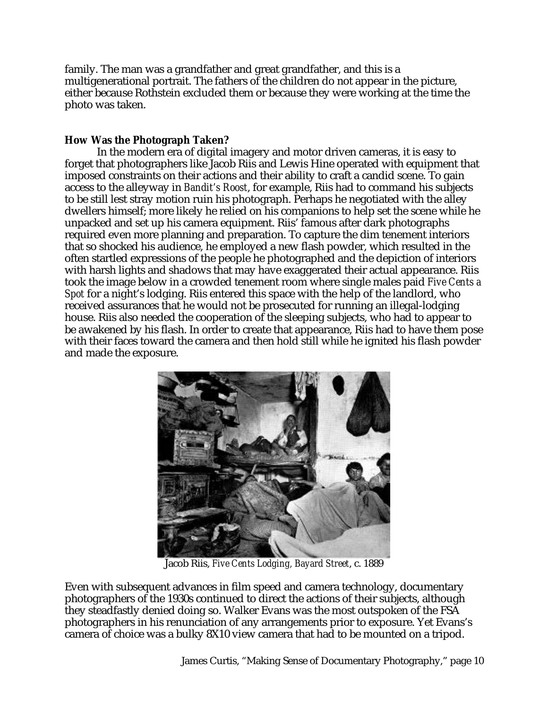family. The man was a grandfather and great grandfather, and this is a multigenerational portrait. The fathers of the children do not appear in the picture, either because Rothstein excluded them or because they were working at the time the photo was taken.

## **How Was the Photograph Taken?**

In the modern era of digital imagery and motor driven cameras, it is easy to forget that photographers like Jacob Riis and Lewis Hine operated with equipment that imposed constraints on their actions and their ability to craft a candid scene. To gain access to the alleyway in *Bandit's Roost*, for example, Riis had to command his subjects to be still lest stray motion ruin his photograph. Perhaps he negotiated with the alley dwellers himself; more likely he relied on his companions to help set the scene while he unpacked and set up his camera equipment. Riis' famous after dark photographs required even more planning and preparation. To capture the dim tenement interiors that so shocked his audience, he employed a new flash powder, which resulted in the often startled expressions of the people he photographed and the depiction of interiors with harsh lights and shadows that may have exaggerated their actual appearance. Riis took the image below in a crowded tenement room where single males paid *Five Cents a Spot* for a night's lodging. Riis entered this space with the help of the landlord, who received assurances that he would not be prosecuted for running an illegal-lodging house. Riis also needed the cooperation of the sleeping subjects, who had to appear to be awakened by his flash. In order to create that appearance, Riis had to have them pose with their faces toward the camera and then hold still while he ignited his flash powder and made the exposure.



Jacob Riis, *Five Cents Lodging, Bayard Street*, c. 1889

Even with subsequent advances in film speed and camera technology, documentary photographers of the 1930s continued to direct the actions of their subjects, although they steadfastly denied doing so. Walker Evans was the most outspoken of the FSA photographers in his renunciation of any arrangements prior to exposure. Yet Evans's camera of choice was a bulky 8X10 view camera that had to be mounted on a tripod.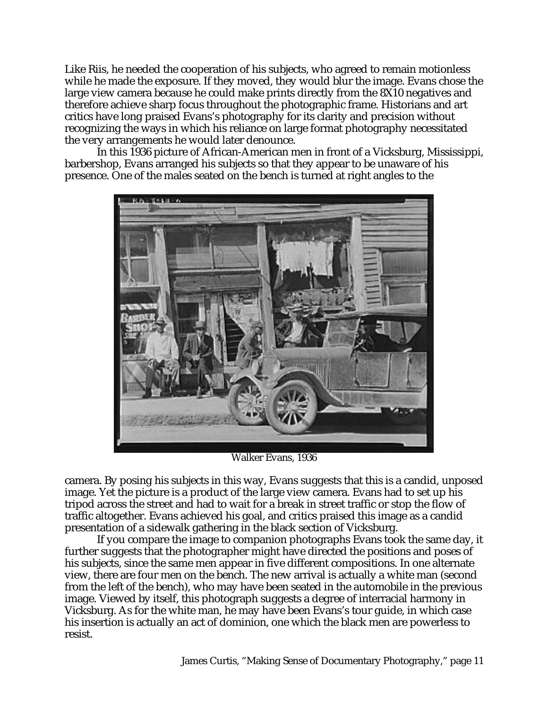Like Riis, he needed the cooperation of his subjects, who agreed to remain motionless while he made the exposure. If they moved, they would blur the image. Evans chose the large view camera because he could make prints directly from the 8X10 negatives and therefore achieve sharp focus throughout the photographic frame. Historians and art critics have long praised Evans's photography for its clarity and precision without recognizing the ways in which his reliance on large format photography necessitated the very arrangements he would later denounce.

In this 1936 picture of African-American men in front of a Vicksburg, Mississippi, barbershop, Evans arranged his subjects so that they appear to be unaware of his presence. One of the males seated on the bench is turned at right angles to the



Walker Evans, 1936

camera. By posing his subjects in this way, Evans suggests that this is a candid, unposed image. Yet the picture is a product of the large view camera. Evans had to set up his tripod across the street and had to wait for a break in street traffic or stop the flow of traffic altogether. Evans achieved his goal, and critics praised this image as a candid presentation of a sidewalk gathering in the black section of Vicksburg.

If you compare the image to companion photographs Evans took the same day, it further suggests that the photographer might have directed the positions and poses of his subjects, since the same men appear in five different compositions. In one alternate view, there are four men on the bench. The new arrival is actually a white man (second from the left of the bench), who may have been seated in the automobile in the previous image. Viewed by itself, this photograph suggests a degree of interracial harmony in Vicksburg. As for the white man, he may have been Evans's tour guide, in which case his insertion is actually an act of dominion, one which the black men are powerless to resist.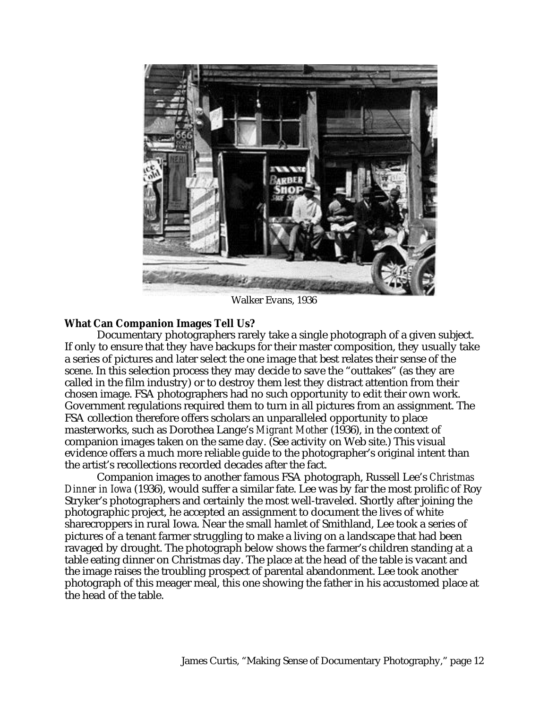

Walker Evans, 1936

### **What Can Companion Images Tell Us?**

Documentary photographers rarely take a single photograph of a given subject. If only to ensure that they have backups for their master composition, they usually take a series of pictures and later select the one image that best relates their sense of the scene. In this selection process they may decide to save the "outtakes" (as they are called in the film industry) or to destroy them lest they distract attention from their chosen image. FSA photographers had no such opportunity to edit their own work. Government regulations required them to turn in all pictures from an assignment. The FSA collection therefore offers scholars an unparalleled opportunity to place masterworks, such as Dorothea Lange's *Migrant Mother* (1936), in the context of companion images taken on the same day. (See activity on Web site.) This visual evidence offers a much more reliable guide to the photographer's original intent than the artist's recollections recorded decades after the fact.

Companion images to another famous FSA photograph, Russell Lee's *Christmas Dinner in Iowa* (1936), would suffer a similar fate. Lee was by far the most prolific of Roy Stryker's photographers and certainly the most well-traveled. Shortly after joining the photographic project, he accepted an assignment to document the lives of white sharecroppers in rural Iowa. Near the small hamlet of Smithland, Lee took a series of pictures of a tenant farmer struggling to make a living on a landscape that had been ravaged by drought. The photograph below shows the farmer's children standing at a table eating dinner on Christmas day. The place at the head of the table is vacant and the image raises the troubling prospect of parental abandonment. Lee took another photograph of this meager meal, this one showing the father in his accustomed place at the head of the table.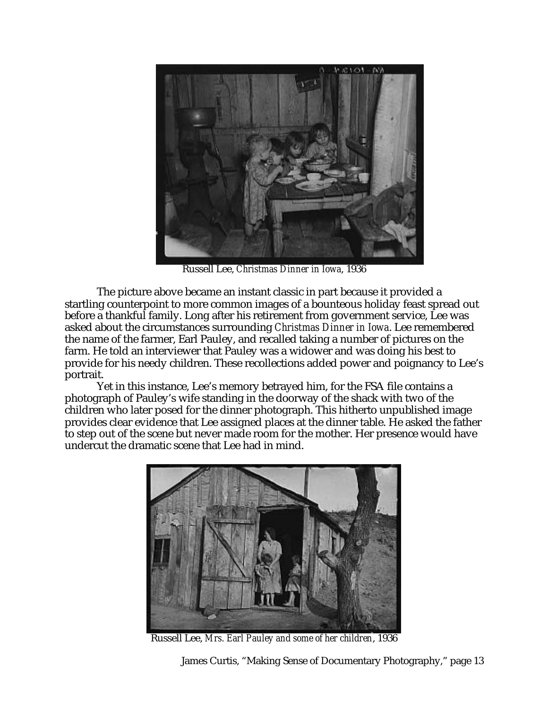

Russell Lee, *Christmas Dinner in Iowa*, 1936

The picture above became an instant classic in part because it provided a startling counterpoint to more common images of a bounteous holiday feast spread out before a thankful family. Long after his retirement from government service, Lee was asked about the circumstances surrounding *Christmas Dinner in Iowa*. Lee remembered the name of the farmer, Earl Pauley, and recalled taking a number of pictures on the farm. He told an interviewer that Pauley was a widower and was doing his best to provide for his needy children. These recollections added power and poignancy to Lee's portrait.

Yet in this instance, Lee's memory betrayed him, for the FSA file contains a photograph of Pauley's wife standing in the doorway of the shack with two of the children who later posed for the dinner photograph. This hitherto unpublished image provides clear evidence that Lee assigned places at the dinner table. He asked the father to step out of the scene but never made room for the mother. Her presence would have undercut the dramatic scene that Lee had in mind.



Russell Lee, *Mrs. Earl Pauley and some of her children*, 1936

James Curtis, "Making Sense of Documentary Photography," page 13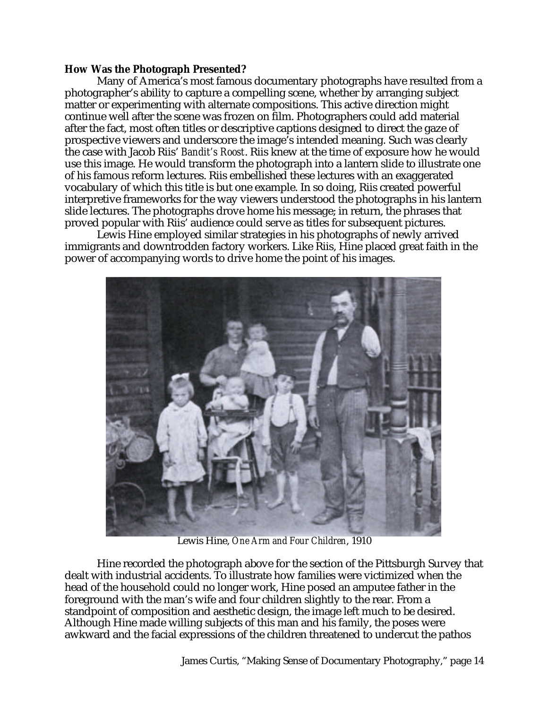### **How Was the Photograph Presented?**

Many of America's most famous documentary photographs have resulted from a photographer's ability to capture a compelling scene, whether by arranging subject matter or experimenting with alternate compositions. This active direction might continue well after the scene was frozen on film. Photographers could add material after the fact, most often titles or descriptive captions designed to direct the gaze of prospective viewers and underscore the image's intended meaning. Such was clearly the case with Jacob Riis' *Bandit's Roost*. Riis knew at the time of exposure how he would use this image. He would transform the photograph into a lantern slide to illustrate one of his famous reform lectures. Riis embellished these lectures with an exaggerated vocabulary of which this title is but one example. In so doing, Riis created powerful interpretive frameworks for the way viewers understood the photographs in his lantern slide lectures. The photographs drove home his message; in return, the phrases that proved popular with Riis' audience could serve as titles for subsequent pictures.

Lewis Hine employed similar strategies in his photographs of newly arrived immigrants and downtrodden factory workers. Like Riis, Hine placed great faith in the power of accompanying words to drive home the point of his images.



Lewis Hine, *One Arm and Four Children*, 1910

Hine recorded the photograph above for the section of the Pittsburgh Survey that dealt with industrial accidents. To illustrate how families were victimized when the head of the household could no longer work, Hine posed an amputee father in the foreground with the man's wife and four children slightly to the rear. From a standpoint of composition and aesthetic design, the image left much to be desired. Although Hine made willing subjects of this man and his family, the poses were awkward and the facial expressions of the children threatened to undercut the pathos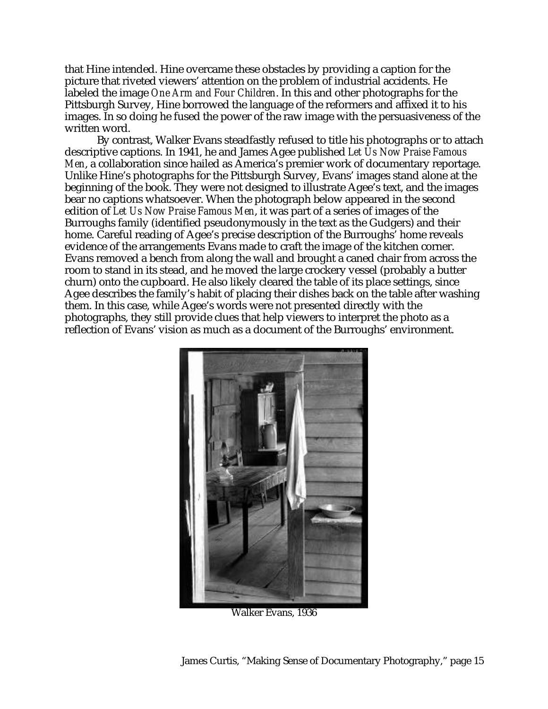that Hine intended. Hine overcame these obstacles by providing a caption for the picture that riveted viewers' attention on the problem of industrial accidents. He labeled the image *One Arm and Four Children*. In this and other photographs for the Pittsburgh Survey, Hine borrowed the language of the reformers and affixed it to his images. In so doing he fused the power of the raw image with the persuasiveness of the written word.

By contrast, Walker Evans steadfastly refused to title his photographs or to attach descriptive captions. In 1941, he and James Agee published *Let Us Now Praise Famous Men*, a collaboration since hailed as America's premier work of documentary reportage. Unlike Hine's photographs for the Pittsburgh Survey, Evans' images stand alone at the beginning of the book. They were not designed to illustrate Agee's text, and the images bear no captions whatsoever. When the photograph below appeared in the second edition of *Let Us Now Praise Famous Men*, it was part of a series of images of the Burroughs family (identified pseudonymously in the text as the Gudgers) and their home. Careful reading of Agee's precise description of the Burroughs' home reveals evidence of the arrangements Evans made to craft the image of the kitchen corner. Evans removed a bench from along the wall and brought a caned chair from across the room to stand in its stead, and he moved the large crockery vessel (probably a butter churn) onto the cupboard. He also likely cleared the table of its place settings, since Agee describes the family's habit of placing their dishes back on the table after washing them. In this case, while Agee's words were not presented directly with the photographs, they still provide clues that help viewers to interpret the photo as a reflection of Evans' vision as much as a document of the Burroughs' environment.



Walker Evans, 1936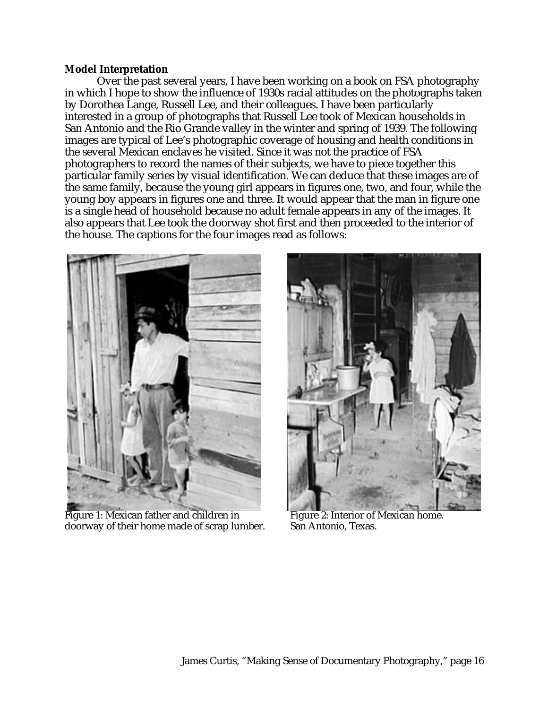### **Model Interpretation**

Over the past several years, I have been working on a book on FSA photography in which I hope to show the influence of 1930s racial attitudes on the photographs taken by Dorothea Lange, Russell Lee, and their colleagues. I have been particularly interested in a group of photographs that Russell Lee took of Mexican households in San Antonio and the Rio Grande valley in the winter and spring of 1939. The following images are typical of Lee's photographic coverage of housing and health conditions in the several Mexican enclaves he visited. Since it was not the practice of FSA photographers to record the names of their subjects, we have to piece together this particular family series by visual identification. We can deduce that these images are of the same family, because the young girl appears in figures one, two, and four, while the young boy appears in figures one and three. It would appear that the man in figure one is a single head of household because no adult female appears in any of the images. It also appears that Lee took the doorway shot first and then proceeded to the interior of the house. The captions for the four images read as follows:



Figure 1: Mexican father and children in Figure 2: Interior of Mexican home.<br>doorway of their home made of scrap lumber. San Antonio, Texas. doorway of their home made of scrap lumber.

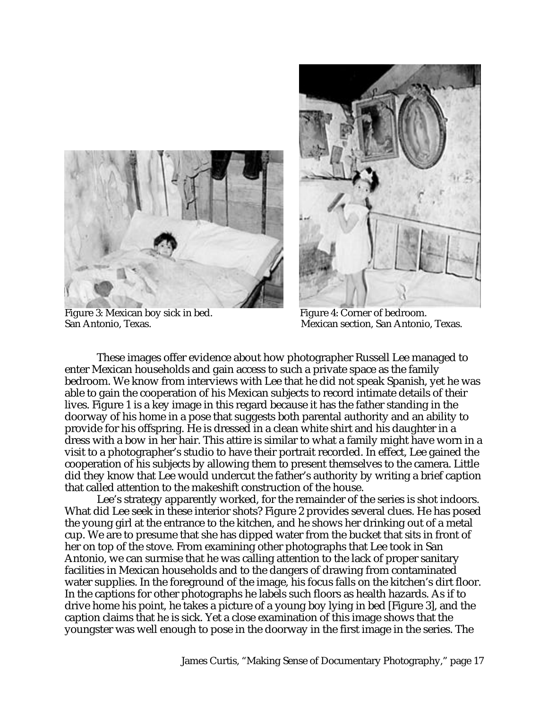

Figure 3: Mexican boy sick in bed.<br>
San Antonio. Texas.<br>
Mexican section. San Antonio

Mexican section, San Antonio, Texas.

These images offer evidence about how photographer Russell Lee managed to enter Mexican households and gain access to such a private space as the family bedroom. We know from interviews with Lee that he did not speak Spanish, yet he was able to gain the cooperation of his Mexican subjects to record intimate details of their lives. Figure 1 is a key image in this regard because it has the father standing in the doorway of his home in a pose that suggests both parental authority and an ability to provide for his offspring. He is dressed in a clean white shirt and his daughter in a dress with a bow in her hair. This attire is similar to what a family might have worn in a visit to a photographer's studio to have their portrait recorded. In effect, Lee gained the cooperation of his subjects by allowing them to present themselves to the camera. Little did they know that Lee would undercut the father's authority by writing a brief caption that called attention to the makeshift construction of the house.

Lee's strategy apparently worked, for the remainder of the series is shot indoors. What did Lee seek in these interior shots? Figure 2 provides several clues. He has posed the young girl at the entrance to the kitchen, and he shows her drinking out of a metal cup. We are to presume that she has dipped water from the bucket that sits in front of her on top of the stove. From examining other photographs that Lee took in San Antonio, we can surmise that he was calling attention to the lack of proper sanitary facilities in Mexican households and to the dangers of drawing from contaminated water supplies. In the foreground of the image, his focus falls on the kitchen's dirt floor. In the captions for other photographs he labels such floors as health hazards. As if to drive home his point, he takes a picture of a young boy lying in bed [Figure 3], and the caption claims that he is sick. Yet a close examination of this image shows that the youngster was well enough to pose in the doorway in the first image in the series. The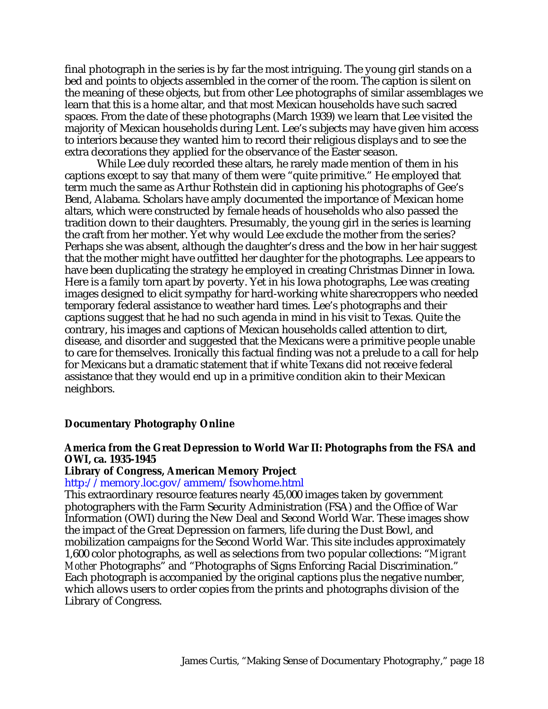final photograph in the series is by far the most intriguing. The young girl stands on a bed and points to objects assembled in the corner of the room. The caption is silent on the meaning of these objects, but from other Lee photographs of similar assemblages we learn that this is a home altar, and that most Mexican households have such sacred spaces. From the date of these photographs (March 1939) we learn that Lee visited the majority of Mexican households during Lent. Lee's subjects may have given him access to interiors because they wanted him to record their religious displays and to see the extra decorations they applied for the observance of the Easter season.

While Lee duly recorded these altars, he rarely made mention of them in his captions except to say that many of them were "quite primitive." He employed that term much the same as Arthur Rothstein did in captioning his photographs of Gee's Bend, Alabama. Scholars have amply documented the importance of Mexican home altars, which were constructed by female heads of households who also passed the tradition down to their daughters. Presumably, the young girl in the series is learning the craft from her mother. Yet why would Lee exclude the mother from the series? Perhaps she was absent, although the daughter's dress and the bow in her hair suggest that the mother might have outfitted her daughter for the photographs. Lee appears to have been duplicating the strategy he employed in creating Christmas Dinner in Iowa. Here is a family torn apart by poverty. Yet in his Iowa photographs, Lee was creating images designed to elicit sympathy for hard-working white sharecroppers who needed temporary federal assistance to weather hard times. Lee's photographs and their captions suggest that he had no such agenda in mind in his visit to Texas. Quite the contrary, his images and captions of Mexican households called attention to dirt, disease, and disorder and suggested that the Mexicans were a primitive people unable to care for themselves. Ironically this factual finding was not a prelude to a call for help for Mexicans but a dramatic statement that if white Texans did not receive federal assistance that they would end up in a primitive condition akin to their Mexican neighbors.

### **Documentary Photography Online**

### **America from the Great Depression to World War II: Photographs from the FSA and OWI, ca. 1935-1945**

**Library of Congress, American Memory Project**

http://memory.loc.gov/ammem/fsowhome.html

This extraordinary resource features nearly 45,000 images taken by government photographers with the Farm Security Administration (FSA) and the Office of War Information (OWI) during the New Deal and Second World War. These images show the impact of the Great Depression on farmers, life during the Dust Bowl, and mobilization campaigns for the Second World War. This site includes approximately 1,600 color photographs, as well as selections from two popular collections: "*Migrant Mother* Photographs" and "Photographs of Signs Enforcing Racial Discrimination." Each photograph is accompanied by the original captions plus the negative number, which allows users to order copies from the prints and photographs division of the Library of Congress.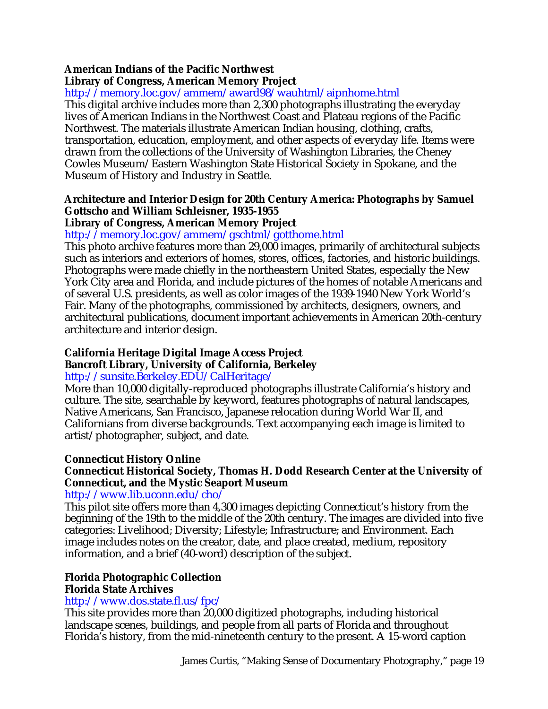# **American Indians of the Pacific Northwest**

## **Library of Congress, American Memory Project**

http://memory.loc.gov/ammem/award98/wauhtml/aipnhome.html

This digital archive includes more than 2,300 photographs illustrating the everyday lives of American Indians in the Northwest Coast and Plateau regions of the Pacific Northwest. The materials illustrate American Indian housing, clothing, crafts, transportation, education, employment, and other aspects of everyday life. Items were drawn from the collections of the University of Washington Libraries, the Cheney Cowles Museum/Eastern Washington State Historical Society in Spokane, and the Museum of History and Industry in Seattle.

## **Architecture and Interior Design for 20th Century America: Photographs by Samuel Gottscho and William Schleisner, 1935-1955**

### **Library of Congress, American Memory Project**

# http://memory.loc.gov/ammem/gschtml/gotthome.html

This photo archive features more than 29,000 images, primarily of architectural subjects such as interiors and exteriors of homes, stores, offices, factories, and historic buildings. Photographs were made chiefly in the northeastern United States, especially the New York City area and Florida, and include pictures of the homes of notable Americans and of several U.S. presidents, as well as color images of the 1939-1940 New York World's Fair. Many of the photographs, commissioned by architects, designers, owners, and architectural publications, document important achievements in American 20th-century architecture and interior design.

# **California Heritage Digital Image Access Project**

# **Bancroft Library, University of California, Berkeley**

# http://sunsite.Berkeley.EDU/CalHeritage/

More than 10,000 digitally-reproduced photographs illustrate California's history and culture. The site, searchable by keyword, features photographs of natural landscapes, Native Americans, San Francisco, Japanese relocation during World War II, and Californians from diverse backgrounds. Text accompanying each image is limited to artist/photographer, subject, and date.

# **Connecticut History Online**

# **Connecticut Historical Society, Thomas H. Dodd Research Center at the University of Connecticut, and the Mystic Seaport Museum**

### http://www.lib.uconn.edu/cho/

This pilot site offers more than 4,300 images depicting Connecticut's history from the beginning of the 19th to the middle of the 20th century. The images are divided into five categories: Livelihood; Diversity; Lifestyle; Infrastructure; and Environment. Each image includes notes on the creator, date, and place created, medium, repository information, and a brief (40-word) description of the subject.

# **Florida Photographic Collection**

### **Florida State Archives**

### http://www.dos.state.fl.us/fpc/

This site provides more than 20,000 digitized photographs, including historical landscape scenes, buildings, and people from all parts of Florida and throughout Florida's history, from the mid-nineteenth century to the present. A 15-word caption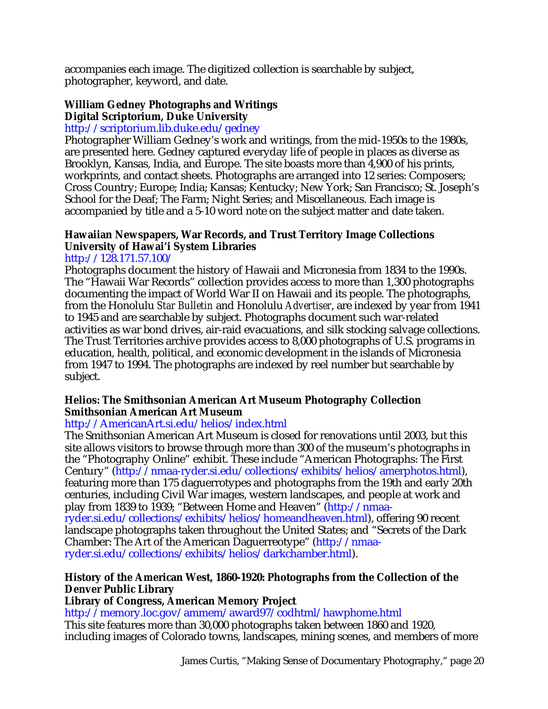accompanies each image. The digitized collection is searchable by subject, photographer, keyword, and date.

### **William Gedney Photographs and Writings Digital Scriptorium, Duke University**

# http://scriptorium.lib.duke.edu/gedney

Photographer William Gedney's work and writings, from the mid-1950s to the 1980s, are presented here. Gedney captured everyday life of people in places as diverse as Brooklyn, Kansas, India, and Europe. The site boasts more than 4,900 of his prints, workprints, and contact sheets. Photographs are arranged into 12 series: Composers; Cross Country; Europe; India; Kansas; Kentucky; New York; San Francisco; St. Joseph's School for the Deaf; The Farm; Night Series; and Miscellaneous. Each image is accompanied by title and a 5-10 word note on the subject matter and date taken.

# **Hawaiian Newspapers, War Records, and Trust Territory Image Collections University of Hawai'i System Libraries**

### http://128.171.57.100/

Photographs document the history of Hawaii and Micronesia from 1834 to the 1990s. The "Hawaii War Records" collection provides access to more than 1,300 photographs documenting the impact of World War II on Hawaii and its people. The photographs, from the Honolulu *Star Bulletin* and Honolulu *Advertiser*, are indexed by year from 1941 to 1945 and are searchable by subject. Photographs document such war-related activities as war bond drives, air-raid evacuations, and silk stocking salvage collections. The Trust Territories archive provides access to 8,000 photographs of U.S. programs in education, health, political, and economic development in the islands of Micronesia from 1947 to 1994. The photographs are indexed by reel number but searchable by subject.

### **Helios: The Smithsonian American Art Museum Photography Collection Smithsonian American Art Museum**

# http://AmericanArt.si.edu/helios/index.html

The Smithsonian American Art Museum is closed for renovations until 2003, but this site allows visitors to browse through more than 300 of the museum's photographs in the "Photography Online" exhibit. These include "American Photographs: The First Century" (http://nmaa-ryder.si.edu/collections/exhibits/helios/amerphotos.html), featuring more than 175 daguerrotypes and photographs from the 19th and early 20th centuries, including Civil War images, western landscapes, and people at work and play from 1839 to 1939; "Between Home and Heaven" (http://nmaa-

ryder.si.edu/collections/exhibits/helios/homeandheaven.html), offering 90 recent landscape photographs taken throughout the United States; and "Secrets of the Dark Chamber: The Art of the American Daguerreotype" (http://nmaaryder.si.edu/collections/exhibits/helios/darkchamber.html).

### **History of the American West, 1860-1920: Photographs from the Collection of the Denver Public Library**

### **Library of Congress, American Memory Project**

http://memory.loc.gov/ammem/award97/codhtml/hawphome.html

This site features more than 30,000 photographs taken between 1860 and 1920, including images of Colorado towns, landscapes, mining scenes, and members of more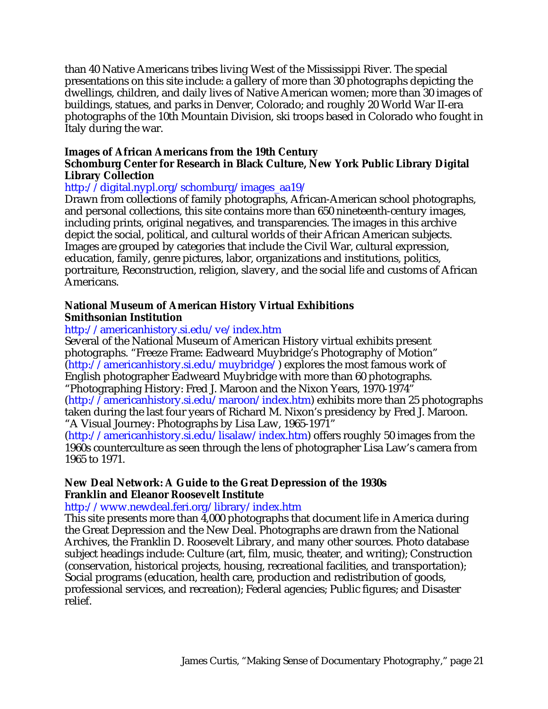than 40 Native Americans tribes living West of the Mississippi River. The special presentations on this site include: a gallery of more than 30 photographs depicting the dwellings, children, and daily lives of Native American women; more than 30 images of buildings, statues, and parks in Denver, Colorado; and roughly 20 World War II-era photographs of the 10th Mountain Division, ski troops based in Colorado who fought in Italy during the war.

### **Images of African Americans from the 19th Century**

### **Schomburg Center for Research in Black Culture, New York Public Library Digital Library Collection**

### http://digital.nypl.org/schomburg/images\_aa19/

Drawn from collections of family photographs, African-American school photographs, and personal collections, this site contains more than 650 nineteenth-century images, including prints, original negatives, and transparencies. The images in this archive depict the social, political, and cultural worlds of their African American subjects. Images are grouped by categories that include the Civil War, cultural expression, education, family, genre pictures, labor, organizations and institutions, politics, portraiture, Reconstruction, religion, slavery, and the social life and customs of African Americans.

# **National Museum of American History Virtual Exhibitions Smithsonian Institution**

# http://americanhistory.si.edu/ve/index.htm

Several of the National Museum of American History virtual exhibits present photographs. "Freeze Frame: Eadweard Muybridge's Photography of Motion" (http://americanhistory.si.edu/muybridge/) explores the most famous work of English photographer Eadweard Muybridge with more than 60 photographs. "Photographing History: Fred J. Maroon and the Nixon Years, 1970-1974" (http://americanhistory.si.edu/maroon/index.htm) exhibits more than 25 photographs taken during the last four years of Richard M. Nixon's presidency by Fred J. Maroon. "A Visual Journey: Photographs by Lisa Law, 1965-1971"

(http://americanhistory.si.edu/lisalaw/index.htm) offers roughly 50 images from the 1960s counterculture as seen through the lens of photographer Lisa Law's camera from 1965 to 1971.

### **New Deal Network: A Guide to the Great Depression of the 1930s Franklin and Eleanor Roosevelt Institute**

### http://www.newdeal.feri.org/library/index.htm

This site presents more than  $\overline{4,000}$  photographs that document life in America during the Great Depression and the New Deal. Photographs are drawn from the National Archives, the Franklin D. Roosevelt Library, and many other sources. Photo database subject headings include: Culture (art, film, music, theater, and writing); Construction (conservation, historical projects, housing, recreational facilities, and transportation); Social programs (education, health care, production and redistribution of goods, professional services, and recreation); Federal agencies; Public figures; and Disaster relief.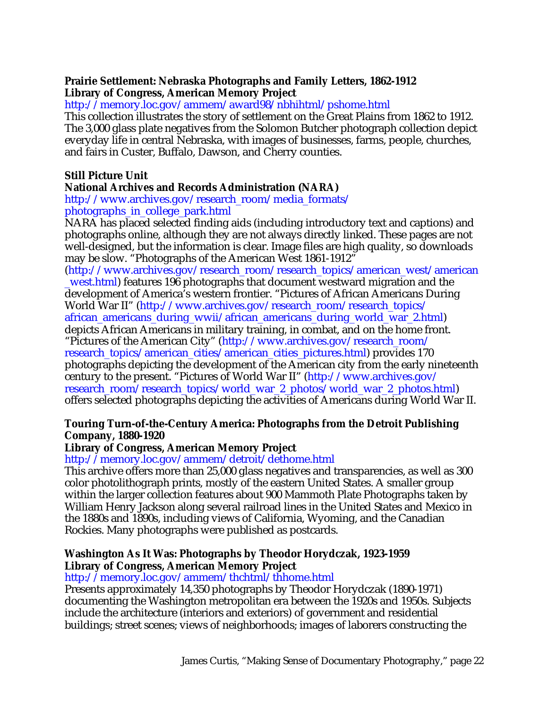### **Prairie Settlement: Nebraska Photographs and Family Letters, 1862-1912 Library of Congress, American Memory Project**

http://memory.loc.gov/ammem/award98/nbhihtml/pshome.html

This collection illustrates the story of settlement on the Great Plains from 1862 to 1912. The 3,000 glass plate negatives from the Solomon Butcher photograph collection depict everyday life in central Nebraska, with images of businesses, farms, people, churches, and fairs in Custer, Buffalo, Dawson, and Cherry counties.

# **Still Picture Unit**

# **National Archives and Records Administration (NARA)**

http://www.archives.gov/research\_room/media\_formats/ photographs\_in\_college\_park.html

NARA has placed selected finding aids (including introductory text and captions) and photographs online, although they are not always directly linked. These pages are not well-designed, but the information is clear. Image files are high quality, so downloads may be slow. "Photographs of the American West 1861-1912"

(http://www.archives.gov/research\_room/research\_topics/american\_west/american \_west.html) features 196 photographs that document westward migration and the development of America's western frontier. "Pictures of African Americans During World War II" (http://www.archives.gov/research\_room/research\_topics/ african\_americans\_during\_wwii/african\_americans\_during\_world\_war\_2.html) depicts African Americans in military training, in combat, and on the home front. "Pictures of the American City" (http://www.archives.gov/research\_room/ research\_topics/american\_cities/american\_cities\_pictures.html) provides 170 photographs depicting the development of the American city from the early nineteenth century to the present. "Pictures of World War II" (http://www.archives.gov/ research\_room/research\_topics/world\_war\_2\_photos/world\_war\_2\_photos.html) offers selected photographs depicting the activities of Americans during World War II.

# **Touring Turn-of-the-Century America: Photographs from the Detroit Publishing Company, 1880-1920**

# **Library of Congress, American Memory Project**

http://memory.loc.gov/ammem/detroit/dethome.html

This archive offers more than 25,000 glass negatives and transparencies, as well as 300 color photolithograph prints, mostly of the eastern United States. A smaller group within the larger collection features about 900 Mammoth Plate Photographs taken by William Henry Jackson along several railroad lines in the United States and Mexico in the 1880s and 1890s, including views of California, Wyoming, and the Canadian Rockies. Many photographs were published as postcards.

### **Washington As It Was: Photographs by Theodor Horydczak, 1923-1959 Library of Congress, American Memory Project**

### http://memory.loc.gov/ammem/thchtml/thhome.html

Presents approximately 14,350 photographs by Theodor Horydczak (1890-1971) documenting the Washington metropolitan era between the 1920s and 1950s. Subjects include the architecture (interiors and exteriors) of government and residential buildings; street scenes; views of neighborhoods; images of laborers constructing the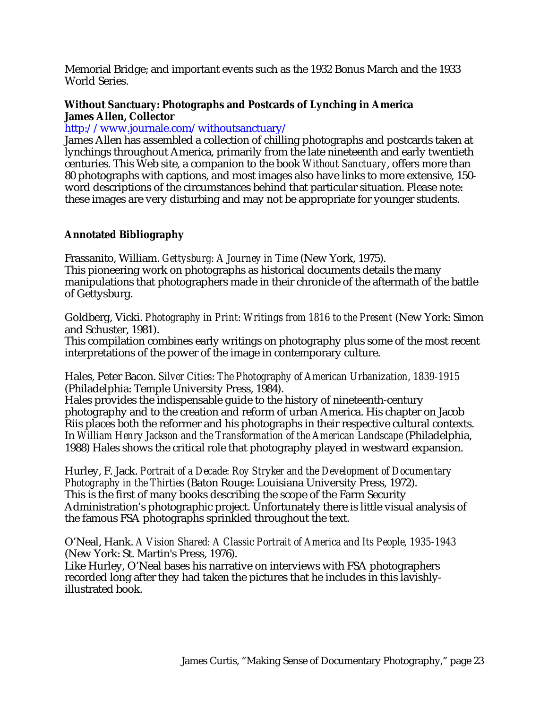Memorial Bridge; and important events such as the 1932 Bonus March and the 1933 World Series.

### **Without Sanctuary: Photographs and Postcards of Lynching in America James Allen, Collector**

http://www.journale.com/withoutsanctuary/

James Allen has assembled a collection of chilling photographs and postcards taken at lynchings throughout America, primarily from the late nineteenth and early twentieth centuries. This Web site, a companion to the book *Without Sanctuary*, offers more than 80 photographs with captions, and most images also have links to more extensive, 150 word descriptions of the circumstances behind that particular situation. Please note: these images are very disturbing and may not be appropriate for younger students.

### **Annotated Bibliography**

Frassanito, William. *Gettysburg: A Journey in Time* (New York, 1975). This pioneering work on photographs as historical documents details the many manipulations that photographers made in their chronicle of the aftermath of the battle of Gettysburg.

Goldberg, Vicki. *Photography in Print: Writings from 1816 to the Present* (New York: Simon and Schuster, 1981).

This compilation combines early writings on photography plus some of the most recent interpretations of the power of the image in contemporary culture.

Hales, Peter Bacon. *Silver Cities: The Photography of American Urbanization, 1839-1915* (Philadelphia: Temple University Press, 1984).

Hales provides the indispensable guide to the history of nineteenth-century photography and to the creation and reform of urban America. His chapter on Jacob Riis places both the reformer and his photographs in their respective cultural contexts. In *William Henry Jackson and the Transformation of the American Landscape* (Philadelphia, 1988) Hales shows the critical role that photography played in westward expansion.

Hurley, F. Jack. *Portrait of a Decade: Roy Stryker and the Development of Documentary Photography in the Thirties* (Baton Rouge: Louisiana University Press, 1972). This is the first of many books describing the scope of the Farm Security Administration's photographic project. Unfortunately there is little visual analysis of the famous FSA photographs sprinkled throughout the text.

O'Neal, Hank. *A Vision Shared: A Classic Portrait of America and Its People, 1935-1943* (New York: St. Martin's Press, 1976).

Like Hurley, O'Neal bases his narrative on interviews with FSA photographers recorded long after they had taken the pictures that he includes in this lavishlyillustrated book.